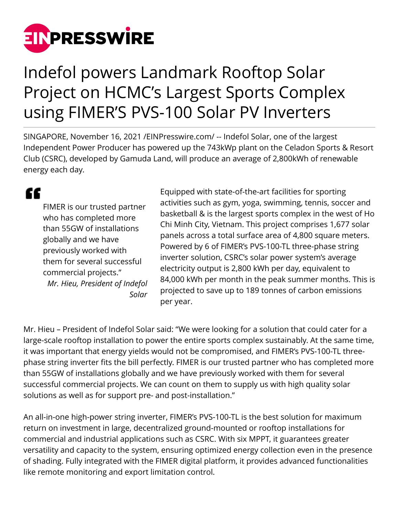

## Indefol powers Landmark Rooftop Solar Project on HCMC's Largest Sports Complex using FIMER'S PVS-100 Solar PV Inverters

SINGAPORE, November 16, 2021 /[EINPresswire.com/](http://www.einpresswire.com) -- Indefol Solar, one of the largest Independent Power Producer has powered up the 743kWp plant on the Celadon Sports & Resort Club (CSRC), developed by Gamuda Land, will produce an average of 2,800kWh of renewable energy each day.

## "

FIMER is our trusted partner who has completed more than 55GW of installations globally and we have previously worked with them for several successful commercial projects." *Mr. Hieu, President of Indefol Solar* Equipped with state-of-the-art facilities for sporting activities such as gym, yoga, swimming, tennis, soccer and basketball & is the largest sports complex in the west of Ho Chi Minh City, Vietnam. This project comprises 1,677 solar panels across a total surface area of 4,800 square meters. Powered by 6 of FIMER's PVS-100-TL three-phase string inverter solution, CSRC's solar power system's average electricity output is 2,800 kWh per day, equivalent to 84,000 kWh per month in the peak summer months. This is projected to save up to 189 tonnes of carbon emissions per year.

Mr. Hieu – President of Indefol Solar said: "We were looking for a solution that could cater for a large-scale rooftop installation to power the entire sports complex sustainably. At the same time, it was important that energy yields would not be compromised, and FIMER's PVS-100-TL threephase string inverter fits the bill perfectly. FIMER is our trusted partner who has completed more than 55GW of installations globally and we have previously worked with them for several successful commercial projects. We can count on them to supply us with high quality solar solutions as well as for support pre- and post-installation."

An all-in-one high-power string inverter, FIMER's PVS-100-TL is the best solution for maximum return on investment in large, decentralized ground-mounted or rooftop installations for commercial and industrial applications such as CSRC. With six MPPT, it guarantees greater versatility and capacity to the system, ensuring optimized energy collection even in the presence of shading. Fully integrated with the FIMER digital platform, it provides advanced functionalities like remote monitoring and export limitation control.